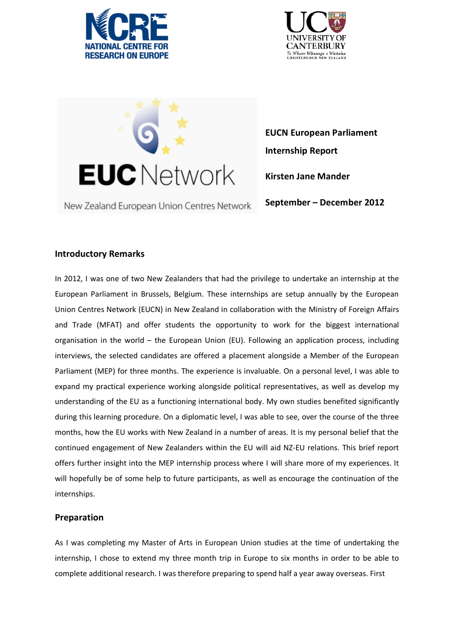





New Zealand European Union Centres Network

**EUCN European Parliament Internship Report Kirsten Jane Mander**

#### **September – December 2012**

## **Introductory Remarks**

In 2012, I was one of two New Zealanders that had the privilege to undertake an internship at the European Parliament in Brussels, Belgium. These internships are setup annually by the European Union Centres Network (EUCN) in New Zealand in collaboration with the Ministry of Foreign Affairs and Trade (MFAT) and offer students the opportunity to work for the biggest international organisation in the world – the European Union (EU). Following an application process, including interviews, the selected candidates are offered a placement alongside a Member of the European Parliament (MEP) for three months. The experience is invaluable. On a personal level, I was able to expand my practical experience working alongside political representatives, as well as develop my understanding of the EU as a functioning international body. My own studies benefited significantly during this learning procedure. On a diplomatic level, I was able to see, over the course of the three months, how the EU works with New Zealand in a number of areas. It is my personal belief that the continued engagement of New Zealanders within the EU will aid NZ-EU relations. This brief report offers further insight into the MEP internship process where I will share more of my experiences. It will hopefully be of some help to future participants, as well as encourage the continuation of the internships.

# **Preparation**

As I was completing my Master of Arts in European Union studies at the time of undertaking the internship, I chose to extend my three month trip in Europe to six months in order to be able to complete additional research. I was therefore preparing to spend half a year away overseas. First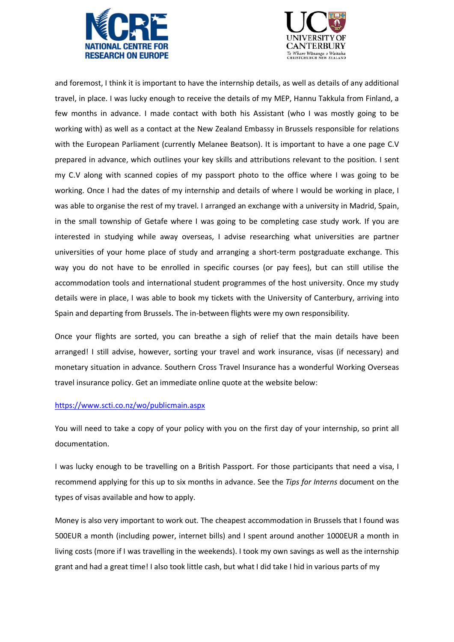



and foremost, I think it is important to have the internship details, as well as details of any additional travel, in place. I was lucky enough to receive the details of my MEP, Hannu Takkula from Finland, a few months in advance. I made contact with both his Assistant (who I was mostly going to be working with) as well as a contact at the New Zealand Embassy in Brussels responsible for relations with the European Parliament (currently Melanee Beatson). It is important to have a one page C.V prepared in advance, which outlines your key skills and attributions relevant to the position. I sent my C.V along with scanned copies of my passport photo to the office where I was going to be working. Once I had the dates of my internship and details of where I would be working in place, I was able to organise the rest of my travel. I arranged an exchange with a university in Madrid, Spain, in the small township of Getafe where I was going to be completing case study work. If you are interested in studying while away overseas, I advise researching what universities are partner universities of your home place of study and arranging a short-term postgraduate exchange. This way you do not have to be enrolled in specific courses (or pay fees), but can still utilise the accommodation tools and international student programmes of the host university. Once my study details were in place, I was able to book my tickets with the University of Canterbury, arriving into Spain and departing from Brussels. The in-between flights were my own responsibility.

Once your flights are sorted, you can breathe a sigh of relief that the main details have been arranged! I still advise, however, sorting your travel and work insurance, visas (if necessary) and monetary situation in advance. Southern Cross Travel Insurance has a wonderful Working Overseas travel insurance policy. Get an immediate online quote at the website below:

#### <https://www.scti.co.nz/wo/publicmain.aspx>

You will need to take a copy of your policy with you on the first day of your internship, so print all documentation.

I was lucky enough to be travelling on a British Passport. For those participants that need a visa, I recommend applying for this up to six months in advance. See the *Tips for Interns* document on the types of visas available and how to apply.

Money is also very important to work out. The cheapest accommodation in Brussels that I found was 500EUR a month (including power, internet bills) and I spent around another 1000EUR a month in living costs (more if I was travelling in the weekends). I took my own savings as well as the internship grant and had a great time! I also took little cash, but what I did take I hid in various parts of my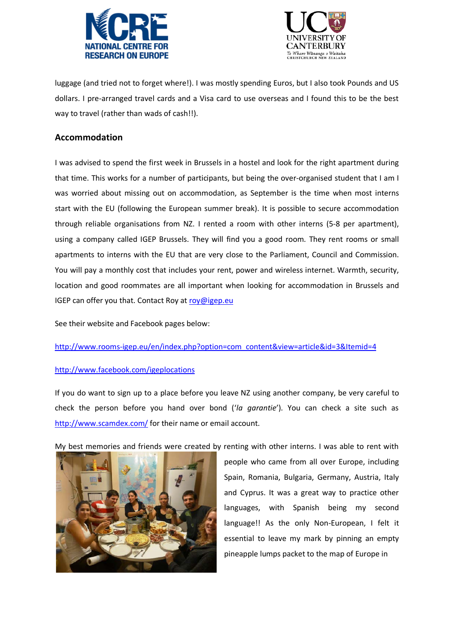



luggage (and tried not to forget where!). I was mostly spending Euros, but I also took Pounds and US dollars. I pre-arranged travel cards and a Visa card to use overseas and I found this to be the best way to travel (rather than wads of cash!!).

### **Accommodation**

I was advised to spend the first week in Brussels in a hostel and look for the right apartment during that time. This works for a number of participants, but being the over-organised student that I am I was worried about missing out on accommodation, as September is the time when most interns start with the EU (following the European summer break). It is possible to secure accommodation through reliable organisations from NZ. I rented a room with other interns (5-8 per apartment), using a company called IGEP Brussels. They will find you a good room. They rent rooms or small apartments to interns with the EU that are very close to the Parliament, Council and Commission. You will pay a monthly cost that includes your rent, power and wireless internet. Warmth, security, location and good roommates are all important when looking for accommodation in Brussels and IGEP can offer you that. Contact Roy at [roy@igep.eu](mailto:roy@igep.eu)

See their website and Facebook pages below:

[http://www.rooms-igep.eu/en/index.php?option=com\\_content&view=article&id=3&Itemid=4](http://www.rooms-igep.eu/en/index.php?option=com_content&view=article&id=3&Itemid=4)

#### <http://www.facebook.com/igeplocations>

If you do want to sign up to a place before you leave NZ using another company, be very careful to check the person before you hand over bond ('*la garantie*'). You can check a site such as <http://www.scamdex.com/> for their name or email account.

My best memories and friends were created by renting with other interns. I was able to rent with



people who came from all over Europe, including Spain, Romania, Bulgaria, Germany, Austria, Italy and Cyprus. It was a great way to practice other languages, with Spanish being my second language!! As the only Non-European, I felt it essential to leave my mark by pinning an empty pineapple lumps packet to the map of Europe in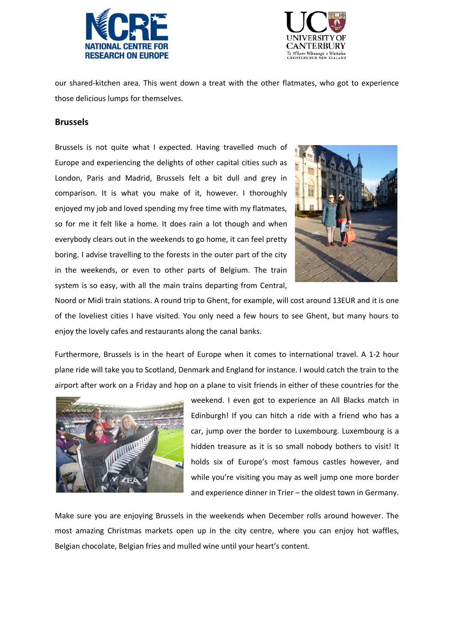



our shared-kitchen area. This went down a treat with the other flatmates, who got to experience those delicious lumps for themselves.

#### **Brussels**

Brussels is not quite what I expected. Having travelled much of Europe and experiencing the delights of other capital cities such as London, Paris and Madrid, Brussels felt a bit dull and grey in comparison. It is what you make of it, however. I thoroughly enjoyed my job and loved spending my free time with my flatmates, so for me it felt like a home. It does rain a lot though and when everybody clears out in the weekends to go home, it can feel pretty boring. I advise travelling to the forests in the outer part of the city in the weekends, or even to other parts of Belgium. The train system is so easy, with all the main trains departing from Central,



Noord or Midi train stations. A round trip to Ghent, for example, will cost around 13EUR and it is one of the loveliest cities I have visited. You only need a few hours to see Ghent, but many hours to enjoy the lovely cafes and restaurants along the canal banks.

Furthermore, Brussels is in the heart of Europe when it comes to international travel. A 1-2 hour plane ride will take you to Scotland, Denmark and England for instance. I would catch the train to the airport after work on a Friday and hop on a plane to visit friends in either of these countries for the



weekend. I even got to experience an All Blacks match in Edinburgh! If you can hitch a ride with a friend who has a car, jump over the border to Luxembourg. Luxembourg is a hidden treasure as it is so small nobody bothers to visit! It holds six of Europe's most famous castles however, and while you're visiting you may as well jump one more border and experience dinner in Trier – the oldest town in Germany.

Make sure you are enjoying Brussels in the weekends when December rolls around however. The most amazing Christmas markets open up in the city centre, where you can enjoy hot waffles, Belgian chocolate, Belgian fries and mulled wine until your heart's content.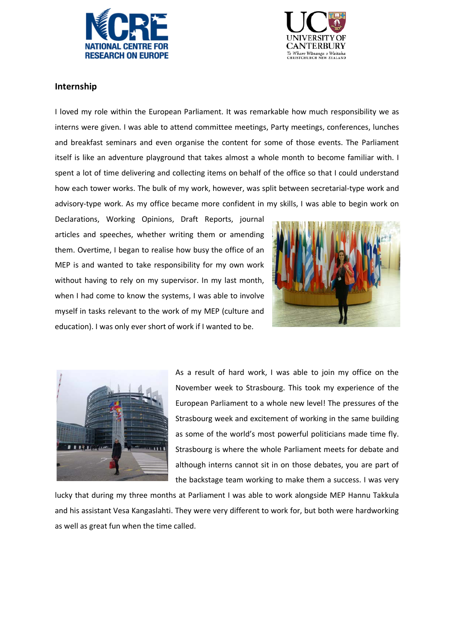



### **Internship**

I loved my role within the European Parliament. It was remarkable how much responsibility we as interns were given. I was able to attend committee meetings, Party meetings, conferences, lunches and breakfast seminars and even organise the content for some of those events. The Parliament itself is like an adventure playground that takes almost a whole month to become familiar with. I spent a lot of time delivering and collecting items on behalf of the office so that I could understand how each tower works. The bulk of my work, however, was split between secretarial-type work and advisory-type work. As my office became more confident in my skills, I was able to begin work on

Declarations, Working Opinions, Draft Reports, journal articles and speeches, whether writing them or amending them. Overtime, I began to realise how busy the office of an MEP is and wanted to take responsibility for my own work without having to rely on my supervisor. In my last month, when I had come to know the systems, I was able to involve myself in tasks relevant to the work of my MEP (culture and education). I was only ever short of work if I wanted to be.





As a result of hard work, I was able to join my office on the November week to Strasbourg. This took my experience of the European Parliament to a whole new level! The pressures of the Strasbourg week and excitement of working in the same building as some of the world's most powerful politicians made time fly. Strasbourg is where the whole Parliament meets for debate and although interns cannot sit in on those debates, you are part of the backstage team working to make them a success. I was very

lucky that during my three months at Parliament I was able to work alongside MEP Hannu Takkula and his assistant Vesa Kangaslahti. They were very different to work for, but both were hardworking as well as great fun when the time called.